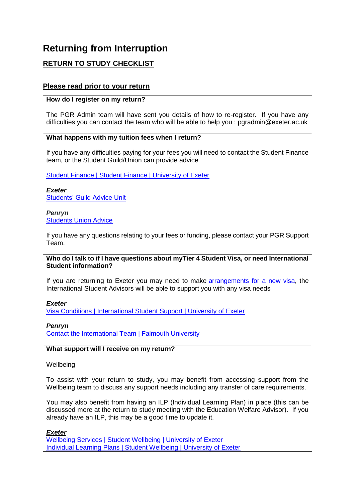# **Returning from Interruption**

## **RETURN TO STUDY CHECKLIST**

### **Please read prior to your return**

#### **How do I register on my return?**

The PGR Admin team will have sent you details of how to re-register. If you have any difficulties you can contact the team who will be able to help you : [pgradmin@exeter.ac.uk](mailto:pgradmin@exeter.ac.uk)

#### **What happens with my tuition fees when I return?**

If you have any difficulties paying for your fees you will need to contact the Student Finance team, or the Student Guild/Union can provide advice

[Student Finance | Student Finance | University of Exeter](https://www.exeter.ac.uk/students/finance/)

*Exeter* [Students' Guild Advice Unit](https://eur03.safelinks.protection.outlook.com/?url=https%3A%2F%2Fwww.exeterguild.org%2Fadvice%2F&data=04%7C01%7CC.Baker%40exeter.ac.uk%7C7628f6cc140f49f8fafd08d93bda5807%7C912a5d77fb984eeeaf321334d8f04a53%7C0%7C0%7C637606631221825345%7CUnknown%7CTWFpbGZsb3d8eyJWIjoiMC4wLjAwMDAiLCJQIjoiV2luMzIiLCJBTiI6Ik1haWwiLCJXVCI6Mn0%3D%7C1000&sdata=GYWRfJBTfvrQsBNmxWxCDJbwshqcXlFtGblcjtLqpt4%3D&reserved=0)

*Penryn* [Students Union Advice](https://eur03.safelinks.protection.outlook.com/?url=https%3A%2F%2Fwww.thesu.org.uk%2Fadvice%2F&data=04%7C01%7CC.Baker%40exeter.ac.uk%7C7628f6cc140f49f8fafd08d93bda5807%7C912a5d77fb984eeeaf321334d8f04a53%7C0%7C0%7C637606631221825345%7CUnknown%7CTWFpbGZsb3d8eyJWIjoiMC4wLjAwMDAiLCJQIjoiV2luMzIiLCJBTiI6Ik1haWwiLCJXVCI6Mn0%3D%7C1000&sdata=fd22De1Q0aKXhFYDfCrBC092L7JaEiDkoBI33RWKsWo%3D&reserved=0)

If you have any questions relating to your fees or funding, please contact your PGR Support Team.

#### **Who do I talk to if I have questions about myTier 4 Student Visa, or need International Student information?**

If you are returning to Exeter you may need to make [arrangements for a new visa,](http://www.exeter.ac.uk/internationalstudents/visaconditions/interruptingwithdrawingcompletingearly/) the International Student Advisors will be able to support you with any visa needs

*Exeter*

[Visa Conditions | International Student Support | University of Exeter](https://www.exeter.ac.uk/students/international/visaconditions/)

*Penryn*

[Contact the International Team | Falmouth University](https://www.falmouth.ac.uk/study/international/contact-international-team)

**What support will I receive on my return?**

#### **Wellbeing**

To assist with your return to study, you may benefit from accessing support from the Wellbeing team to discuss any support needs including any transfer of care requirements.

You may also benefit from having an ILP (Individual Learning Plan) in place (this can be discussed more at the return to study meeting with the Education Welfare Advisor). If you already have an ILP, this may be a good time to update it.

*Exeter*

Wellbeing Services | Student [Wellbeing | University of Exeter](https://www.exeter.ac.uk/students/wellbeing/) [Individual Learning Plans | Student Wellbeing | University of Exeter](https://www.exeter.ac.uk/students/wellbeing/support/individuallearningplans/)